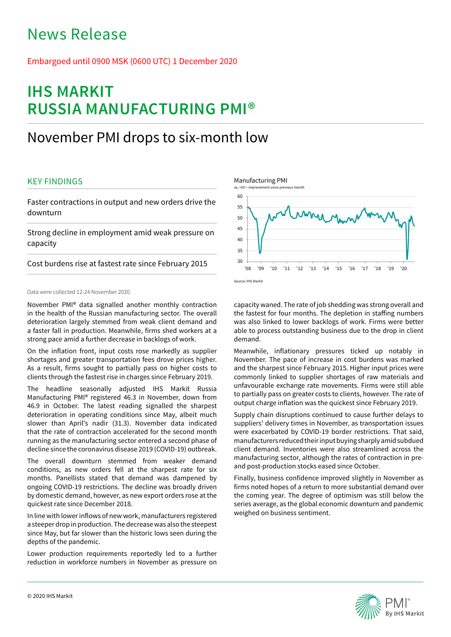# News Release

## Embargoed until 0900 MSK (0600 UTC) 1 December 2020

# **IHS MARKIT RUSSIA MANUFACTURING PMI®**

## November PMI drops to six-month low

## KEY FINDINGS

Faster contractions in output and new orders drive the downturn

Strong decline in employment amid weak pressure on capacity

Cost burdens rise at fastest rate since February 2015

### Data were collected 12-24 November 2020.

November PMI® data signalled another monthly contraction in the health of the Russian manufacturing sector. The overall deterioration largely stemmed from weak client demand and a faster fall in production. Meanwhile, firms shed workers at a strong pace amid a further decrease in backlogs of work.

On the inflation front, input costs rose markedly as supplier shortages and greater transportation fees drove prices higher. As a result, firms sought to partially pass on higher costs to clients through the fastest rise in charges since February 2019.

The headline seasonally adjusted IHS Markit Russia Manufacturing PMI® registered 46.3 in November, down from 46.9 in October. The latest reading signalled the sharpest deterioration in operating conditions since May, albeit much slower than April's nadir (31.3). November data indicated that the rate of contraction accelerated for the second month running as the manufacturing sector entered a second phase of decline since the coronavirus disease 2019 (COVID-19) outbreak.

The overall downturn stemmed from weaker demand conditions, as new orders fell at the sharpest rate for six months. Panellists stated that demand was dampened by ongoing COVID-19 restrictions. The decline was broadly driven by domestic demand, however, as new export orders rose at the quickest rate since December 2018.

In line with lower inflows of new work, manufacturers registered a steeper drop in production. The decrease was also the steepest since May, but far slower than the historic lows seen during the depths of the pandemic.

Lower production requirements reportedly led to a further reduction in workforce numbers in November as pressure on





capacity waned. The rate of job shedding was strong overall and the fastest for four months. The depletion in staffing numbers was also linked to lower backlogs of work. Firms were better able to process outstanding business due to the drop in client demand.

Meanwhile, inflationary pressures ticked up notably in November. The pace of increase in cost burdens was marked and the sharpest since February 2015. Higher input prices were commonly linked to supplier shortages of raw materials and unfavourable exchange rate movements. Firms were still able to partially pass on greater costs to clients, however. The rate of output charge inflation was the quickest since February 2019.

Supply chain disruptions continued to cause further delays to suppliers' delivery times in November, as transportation issues were exacerbated by COVID-19 border restrictions. That said, manufacturers reduced their input buying sharply amid subdued client demand. Inventories were also streamlined across the manufacturing sector, although the rates of contraction in preand post-production stocks eased since October.

Finally, business confidence improved slightly in November as firms noted hopes of a return to more substantial demand over the coming year. The degree of optimism was still below the series average, as the global economic downturn and pandemic weighed on business sentiment.